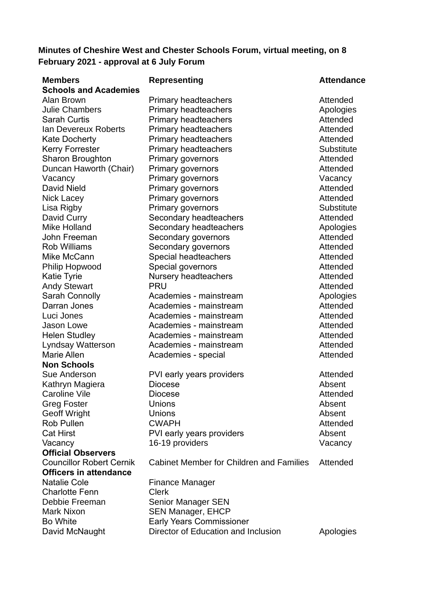# **Minutes of Cheshire West and Chester Schools Forum, virtual meeting, on 8 February 2021 - approval at 6 July Forum**

| <b>Members</b>                  | <b>Representing</b>                             | <b>Attendance</b> |
|---------------------------------|-------------------------------------------------|-------------------|
| <b>Schools and Academies</b>    |                                                 |                   |
| Alan Brown                      | <b>Primary headteachers</b>                     | Attended          |
| <b>Julie Chambers</b>           | <b>Primary headteachers</b>                     | Apologies         |
| <b>Sarah Curtis</b>             | <b>Primary headteachers</b>                     | Attended          |
| Ian Devereux Roberts            | <b>Primary headteachers</b>                     | Attended          |
| <b>Kate Docherty</b>            | <b>Primary headteachers</b>                     | Attended          |
| <b>Kerry Forrester</b>          | <b>Primary headteachers</b>                     | <b>Substitute</b> |
| <b>Sharon Broughton</b>         | <b>Primary governors</b>                        | Attended          |
| Duncan Haworth (Chair)          | Primary governors                               | Attended          |
| Vacancy                         | Primary governors                               | Vacancy           |
| <b>David Nield</b>              | <b>Primary governors</b>                        | Attended          |
| <b>Nick Lacey</b>               | <b>Primary governors</b>                        | Attended          |
| Lisa Rigby                      | <b>Primary governors</b>                        | Substitute        |
| David Curry                     | Secondary headteachers                          | Attended          |
| <b>Mike Holland</b>             | Secondary headteachers                          | Apologies         |
| John Freeman                    | Secondary governors                             | Attended          |
| <b>Rob Williams</b>             | Secondary governors                             | Attended          |
| Mike McCann                     | Special headteachers                            | Attended          |
| <b>Philip Hopwood</b>           | Special governors                               | Attended          |
| <b>Katie Tyrie</b>              | Nursery headteachers                            | Attended          |
| <b>Andy Stewart</b>             | <b>PRU</b>                                      | Attended          |
| <b>Sarah Connolly</b>           | Academies - mainstream                          | Apologies         |
| Darran Jones                    | Academies - mainstream                          | Attended          |
| Luci Jones                      | Academies - mainstream                          | Attended          |
| Jason Lowe                      | Academies - mainstream                          | Attended          |
| <b>Helen Studley</b>            | Academies - mainstream                          | Attended          |
| Lyndsay Watterson               | Academies - mainstream                          | Attended          |
| <b>Marie Allen</b>              | Academies - special                             | Attended          |
| <b>Non Schools</b>              |                                                 |                   |
| Sue Anderson                    | PVI early years providers                       | Attended          |
| Kathryn Magiera                 | <b>Diocese</b>                                  | Absent            |
| <b>Caroline Vile</b>            | <b>Diocese</b>                                  | Attended          |
| <b>Greg Foster</b>              | Unions                                          | Absent            |
| <b>Geoff Wright</b>             | Unions                                          | Absent            |
| <b>Rob Pullen</b>               | <b>CWAPH</b>                                    | Attended          |
| <b>Cat Hirst</b>                | PVI early years providers                       | Absent            |
| Vacancy                         | 16-19 providers                                 | Vacancy           |
| <b>Official Observers</b>       |                                                 |                   |
| <b>Councillor Robert Cernik</b> | <b>Cabinet Member for Children and Families</b> | Attended          |
| <b>Officers in attendance</b>   |                                                 |                   |
| <b>Natalie Cole</b>             | Finance Manager                                 |                   |
| <b>Charlotte Fenn</b>           | <b>Clerk</b>                                    |                   |
| Debbie Freeman                  | <b>Senior Manager SEN</b>                       |                   |
| <b>Mark Nixon</b>               | <b>SEN Manager, EHCP</b>                        |                   |
| <b>Bo White</b>                 | <b>Early Years Commissioner</b>                 |                   |
| David McNaught                  | Director of Education and Inclusion             | Apologies         |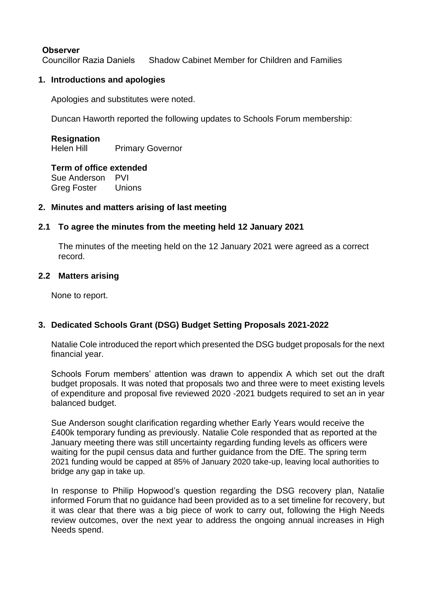### **Observer**

Councillor Razia Daniels Shadow Cabinet Member for Children and Families

### **1. Introductions and apologies**

Apologies and substitutes were noted.

Duncan Haworth reported the following updates to Schools Forum membership:

# **Resignation**

Helen Hill Primary Governor

#### **Term of office extended**

Sue Anderson PVI Greg Foster Unions

### **2. Minutes and matters arising of last meeting**

# **2.1 To agree the minutes from the meeting held 12 January 2021**

The minutes of the meeting held on the 12 January 2021 were agreed as a correct record.

#### **2.2 Matters arising**

None to report.

# **3. Dedicated Schools Grant (DSG) Budget Setting Proposals 2021-2022**

Natalie Cole introduced the report which presented the DSG budget proposals for the next financial year.

Schools Forum members' attention was drawn to appendix A which set out the draft budget proposals. It was noted that proposals two and three were to meet existing levels of expenditure and proposal five reviewed 2020 -2021 budgets required to set an in year balanced budget.

Sue Anderson sought clarification regarding whether Early Years would receive the £400k temporary funding as previously. Natalie Cole responded that as reported at the January meeting there was still uncertainty regarding funding levels as officers were waiting for the pupil census data and further guidance from the DfE. The spring term 2021 funding would be capped at 85% of January 2020 take-up, leaving local authorities to bridge any gap in take up.

In response to Philip Hopwood's question regarding the DSG recovery plan, Natalie informed Forum that no guidance had been provided as to a set timeline for recovery, but it was clear that there was a big piece of work to carry out, following the High Needs review outcomes, over the next year to address the ongoing annual increases in High Needs spend.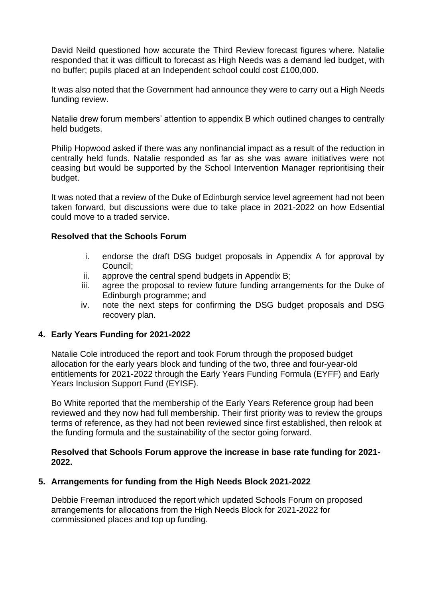David Neild questioned how accurate the Third Review forecast figures where. Natalie responded that it was difficult to forecast as High Needs was a demand led budget, with no buffer; pupils placed at an Independent school could cost £100,000.

It was also noted that the Government had announce they were to carry out a High Needs funding review.

Natalie drew forum members' attention to appendix B which outlined changes to centrally held budgets.

Philip Hopwood asked if there was any nonfinancial impact as a result of the reduction in centrally held funds. Natalie responded as far as she was aware initiatives were not ceasing but would be supported by the School Intervention Manager reprioritising their budget.

It was noted that a review of the Duke of Edinburgh service level agreement had not been taken forward, but discussions were due to take place in 2021-2022 on how Edsential could move to a traded service.

#### **Resolved that the Schools Forum**

- i. endorse the draft DSG budget proposals in Appendix A for approval by Council;
- ii. approve the central spend budgets in Appendix B;
- iii. agree the proposal to review future funding arrangements for the Duke of Edinburgh programme; and
- iv. note the next steps for confirming the DSG budget proposals and DSG recovery plan.

#### **4. Early Years Funding for 2021-2022**

Natalie Cole introduced the report and took Forum through the proposed budget allocation for the early years block and funding of the two, three and four-year-old entitlements for 2021-2022 through the Early Years Funding Formula (EYFF) and Early Years Inclusion Support Fund (EYISF).

Bo White reported that the membership of the Early Years Reference group had been reviewed and they now had full membership. Their first priority was to review the groups terms of reference, as they had not been reviewed since first established, then relook at the funding formula and the sustainability of the sector going forward.

#### **Resolved that Schools Forum approve the increase in base rate funding for 2021- 2022.**

#### **5. Arrangements for funding from the High Needs Block 2021-2022**

Debbie Freeman introduced the report which updated Schools Forum on proposed arrangements for allocations from the High Needs Block for 2021-2022 for commissioned places and top up funding.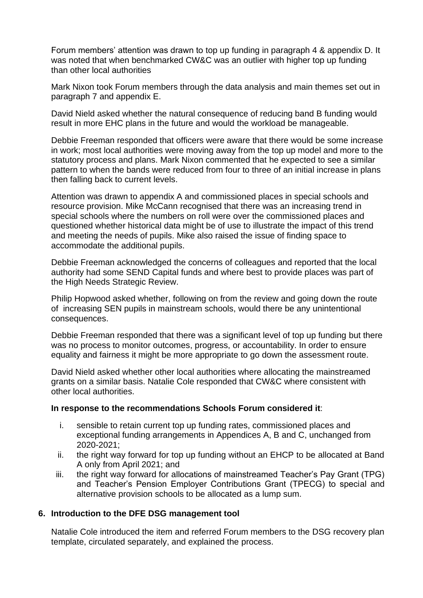Forum members' attention was drawn to top up funding in paragraph 4 & appendix D. It was noted that when benchmarked CW&C was an outlier with higher top up funding than other local authorities

Mark Nixon took Forum members through the data analysis and main themes set out in paragraph 7 and appendix E.

David Nield asked whether the natural consequence of reducing band B funding would result in more EHC plans in the future and would the workload be manageable.

Debbie Freeman responded that officers were aware that there would be some increase in work; most local authorities were moving away from the top up model and more to the statutory process and plans. Mark Nixon commented that he expected to see a similar pattern to when the bands were reduced from four to three of an initial increase in plans then falling back to current levels.

Attention was drawn to appendix A and commissioned places in special schools and resource provision. Mike McCann recognised that there was an increasing trend in special schools where the numbers on roll were over the commissioned places and questioned whether historical data might be of use to illustrate the impact of this trend and meeting the needs of pupils. Mike also raised the issue of finding space to accommodate the additional pupils.

Debbie Freeman acknowledged the concerns of colleagues and reported that the local authority had some SEND Capital funds and where best to provide places was part of the High Needs Strategic Review.

Philip Hopwood asked whether, following on from the review and going down the route of increasing SEN pupils in mainstream schools, would there be any unintentional consequences.

Debbie Freeman responded that there was a significant level of top up funding but there was no process to monitor outcomes, progress, or accountability. In order to ensure equality and fairness it might be more appropriate to go down the assessment route.

David Nield asked whether other local authorities where allocating the mainstreamed grants on a similar basis. Natalie Cole responded that CW&C where consistent with other local authorities.

#### **In response to the recommendations Schools Forum considered it**:

- i. sensible to retain current top up funding rates, commissioned places and exceptional funding arrangements in Appendices A, B and C, unchanged from 2020-2021;
- ii. the right way forward for top up funding without an EHCP to be allocated at Band A only from April 2021; and
- iii. the right way forward for allocations of mainstreamed Teacher's Pay Grant (TPG) and Teacher's Pension Employer Contributions Grant (TPECG) to special and alternative provision schools to be allocated as a lump sum.

### **6. Introduction to the DFE DSG management tool**

Natalie Cole introduced the item and referred Forum members to the DSG recovery plan template, circulated separately, and explained the process.